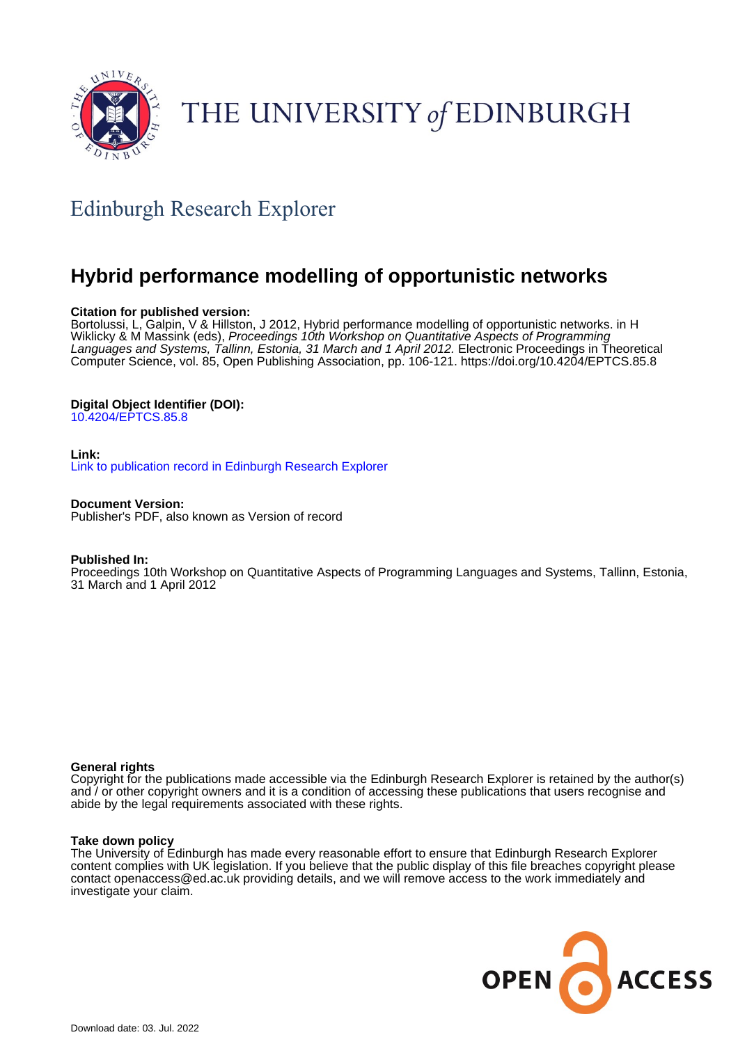

# THE UNIVERSITY of EDINBURGH

# Edinburgh Research Explorer

# **Hybrid performance modelling of opportunistic networks**

### **Citation for published version:**

Bortolussi, L, Galpin, V & Hillston, J 2012, Hybrid performance modelling of opportunistic networks. in H Wiklicky & M Massink (eds), Proceedings 10th Workshop on Quantitative Aspects of Programming Languages and Systems, Tallinn, Estonia, 31 March and 1 April 2012. Electronic Proceedings in Theoretical Computer Science, vol. 85, Open Publishing Association, pp. 106-121. <https://doi.org/10.4204/EPTCS.85.8>

### **Digital Object Identifier (DOI):**

[10.4204/EPTCS.85.8](https://doi.org/10.4204/EPTCS.85.8)

#### **Link:**

[Link to publication record in Edinburgh Research Explorer](https://www.research.ed.ac.uk/en/publications/86edb2ec-1bfc-4adf-865c-e718426b0988)

**Document Version:**

Publisher's PDF, also known as Version of record

#### **Published In:**

Proceedings 10th Workshop on Quantitative Aspects of Programming Languages and Systems, Tallinn, Estonia, 31 March and 1 April 2012

#### **General rights**

Copyright for the publications made accessible via the Edinburgh Research Explorer is retained by the author(s) and / or other copyright owners and it is a condition of accessing these publications that users recognise and abide by the legal requirements associated with these rights.

#### **Take down policy**

The University of Edinburgh has made every reasonable effort to ensure that Edinburgh Research Explorer content complies with UK legislation. If you believe that the public display of this file breaches copyright please contact openaccess@ed.ac.uk providing details, and we will remove access to the work immediately and investigate your claim.

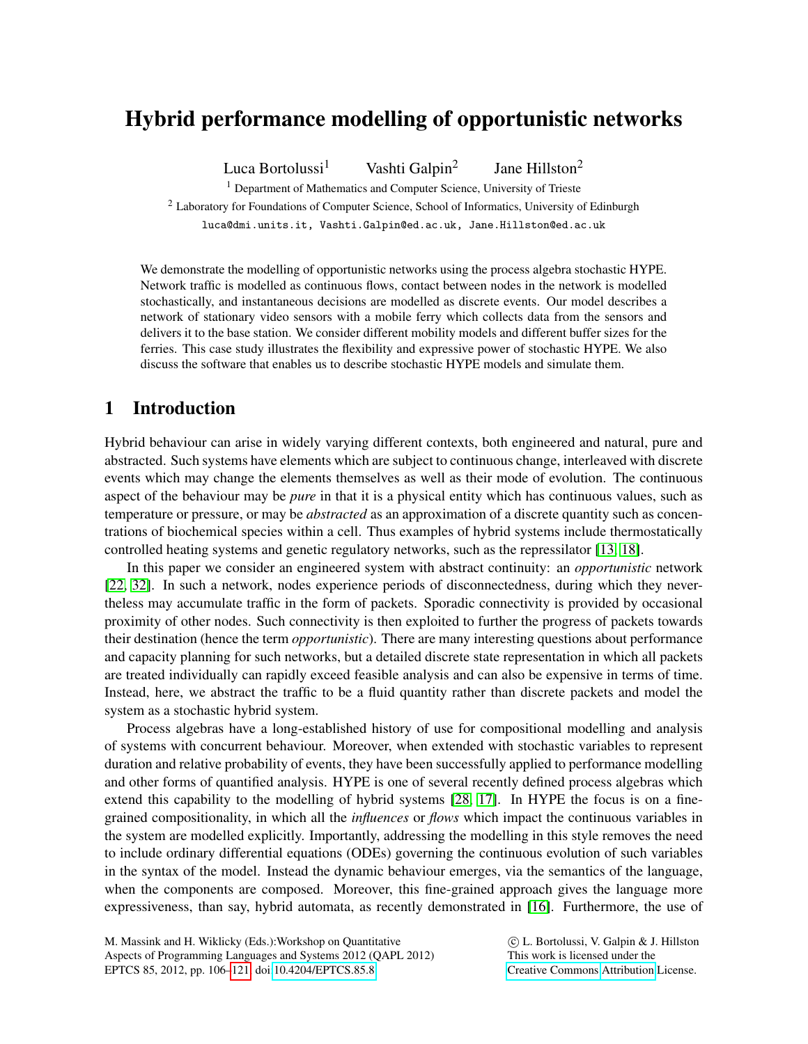# Hybrid performance modelling of opportunistic networks

Luca Bortolussi<sup>1</sup> Vashti Galpin<sup>2</sup> Jane Hillston<sup>2</sup>

<sup>1</sup> Department of Mathematics and Computer Science, University of Trieste <sup>2</sup> Laboratory for Foundations of Computer Science, School of Informatics, University of Edinburgh luca@dmi.units.it, Vashti.Galpin@ed.ac.uk, Jane.Hillston@ed.ac.uk

We demonstrate the modelling of opportunistic networks using the process algebra stochastic HYPE. Network traffic is modelled as continuous flows, contact between nodes in the network is modelled stochastically, and instantaneous decisions are modelled as discrete events. Our model describes a network of stationary video sensors with a mobile ferry which collects data from the sensors and delivers it to the base station. We consider different mobility models and different buffer sizes for the ferries. This case study illustrates the flexibility and expressive power of stochastic HYPE. We also discuss the software that enables us to describe stochastic HYPE models and simulate them.

# 1 Introduction

Hybrid behaviour can arise in widely varying different contexts, both engineered and natural, pure and abstracted. Such systems have elements which are subject to continuous change, interleaved with discrete events which may change the elements themselves as well as their mode of evolution. The continuous aspect of the behaviour may be *pure* in that it is a physical entity which has continuous values, such as temperature or pressure, or may be *abstracted* as an approximation of a discrete quantity such as concentrations of biochemical species within a cell. Thus examples of hybrid systems include thermostatically controlled heating systems and genetic regulatory networks, such as the repressilator [\[13,](#page-15-0) [18\]](#page-15-1).

In this paper we consider an engineered system with abstract continuity: an *opportunistic* network [\[22,](#page-15-2) [32\]](#page-16-1). In such a network, nodes experience periods of disconnectedness, during which they nevertheless may accumulate traffic in the form of packets. Sporadic connectivity is provided by occasional proximity of other nodes. Such connectivity is then exploited to further the progress of packets towards their destination (hence the term *opportunistic*). There are many interesting questions about performance and capacity planning for such networks, but a detailed discrete state representation in which all packets are treated individually can rapidly exceed feasible analysis and can also be expensive in terms of time. Instead, here, we abstract the traffic to be a fluid quantity rather than discrete packets and model the system as a stochastic hybrid system.

Process algebras have a long-established history of use for compositional modelling and analysis of systems with concurrent behaviour. Moreover, when extended with stochastic variables to represent duration and relative probability of events, they have been successfully applied to performance modelling and other forms of quantified analysis. HYPE is one of several recently defined process algebras which extend this capability to the modelling of hybrid systems [\[28,](#page-16-2) [17\]](#page-15-3). In HYPE the focus is on a finegrained compositionality, in which all the *influences* or *flows* which impact the continuous variables in the system are modelled explicitly. Importantly, addressing the modelling in this style removes the need to include ordinary differential equations (ODEs) governing the continuous evolution of such variables in the syntax of the model. Instead the dynamic behaviour emerges, via the semantics of the language, when the components are composed. Moreover, this fine-grained approach gives the language more expressiveness, than say, hybrid automata, as recently demonstrated in [\[16\]](#page-15-4). Furthermore, the use of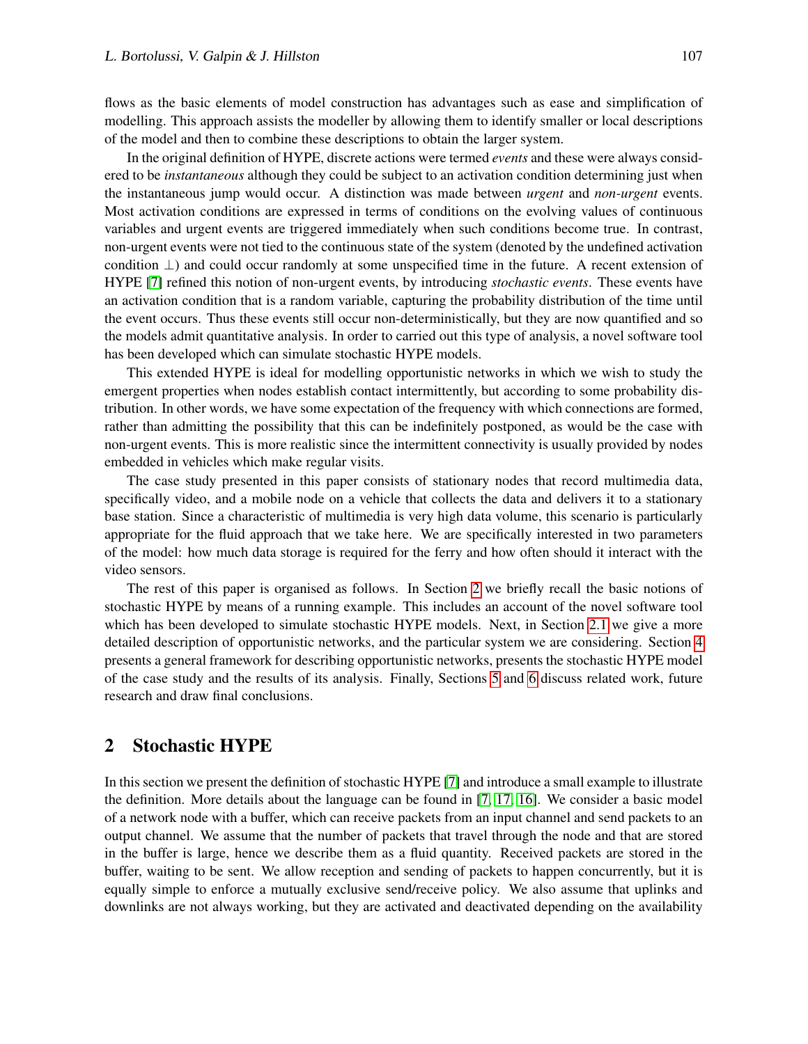flows as the basic elements of model construction has advantages such as ease and simplification of modelling. This approach assists the modeller by allowing them to identify smaller or local descriptions of the model and then to combine these descriptions to obtain the larger system.

In the original definition of HYPE, discrete actions were termed *events* and these were always considered to be *instantaneous* although they could be subject to an activation condition determining just when the instantaneous jump would occur. A distinction was made between *urgent* and *non-urgent* events. Most activation conditions are expressed in terms of conditions on the evolving values of continuous variables and urgent events are triggered immediately when such conditions become true. In contrast, non-urgent events were not tied to the continuous state of the system (denoted by the undefined activation condition ⊥) and could occur randomly at some unspecified time in the future. A recent extension of HYPE [\[7\]](#page-15-5) refined this notion of non-urgent events, by introducing *stochastic events*. These events have an activation condition that is a random variable, capturing the probability distribution of the time until the event occurs. Thus these events still occur non-deterministically, but they are now quantified and so the models admit quantitative analysis. In order to carried out this type of analysis, a novel software tool has been developed which can simulate stochastic HYPE models.

This extended HYPE is ideal for modelling opportunistic networks in which we wish to study the emergent properties when nodes establish contact intermittently, but according to some probability distribution. In other words, we have some expectation of the frequency with which connections are formed, rather than admitting the possibility that this can be indefinitely postponed, as would be the case with non-urgent events. This is more realistic since the intermittent connectivity is usually provided by nodes embedded in vehicles which make regular visits.

The case study presented in this paper consists of stationary nodes that record multimedia data, specifically video, and a mobile node on a vehicle that collects the data and delivers it to a stationary base station. Since a characteristic of multimedia is very high data volume, this scenario is particularly appropriate for the fluid approach that we take here. We are specifically interested in two parameters of the model: how much data storage is required for the ferry and how often should it interact with the video sensors.

The rest of this paper is organised as follows. In Section [2](#page-2-0) we briefly recall the basic notions of stochastic HYPE by means of a running example. This includes an account of the novel software tool which has been developed to simulate stochastic HYPE models. Next, in Section [2.1](#page-6-0) we give a more detailed description of opportunistic networks, and the particular system we are considering. Section [4](#page-9-0) presents a general framework for describing opportunistic networks, presents the stochastic HYPE model of the case study and the results of its analysis. Finally, Sections [5](#page-11-0) and [6](#page-13-0) discuss related work, future research and draw final conclusions.

# <span id="page-2-0"></span>2 Stochastic HYPE

In this section we present the definition of stochastic HYPE [\[7\]](#page-15-5) and introduce a small example to illustrate the definition. More details about the language can be found in [\[7,](#page-15-5) [17,](#page-15-3) [16\]](#page-15-4). We consider a basic model of a network node with a buffer, which can receive packets from an input channel and send packets to an output channel. We assume that the number of packets that travel through the node and that are stored in the buffer is large, hence we describe them as a fluid quantity. Received packets are stored in the buffer, waiting to be sent. We allow reception and sending of packets to happen concurrently, but it is equally simple to enforce a mutually exclusive send/receive policy. We also assume that uplinks and downlinks are not always working, but they are activated and deactivated depending on the availability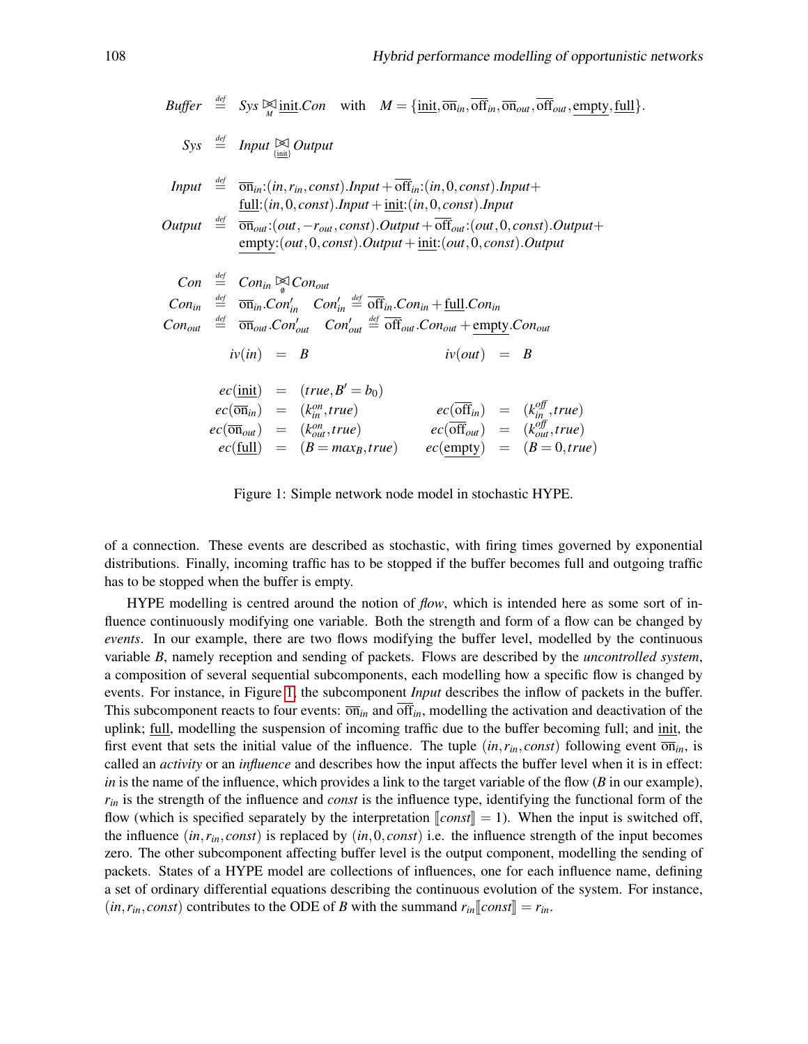$\mathit{Buffer} \stackrel{\text{def}}{=} \mathit{Sys} \boxtimes \underset{M}{\text{init}}. \mathit{Con} \quad \text{with} \quad M = \{\underset{m}{\text{init}}, \overline{\text{on}}_{in}, \overline{\text{off}}_{in}, \overline{\text{on}}_{out}, \overline{\text{off}}_{out}, \overline{\text{empty}}, \underline{\text{full}}\}.$ 

*Sys def* <sup>=</sup> *Input* BC {init} *Output Input def* = on*in*:(*in*,*rin*, *const*).*Input* +off*in*:(*in*,0, *const*).*Input*+ full:(*in*,0, *const*).*Input* +init:(*in*,0, *const*).*Input Output def* = on*out*:(*out*,−*rout*, *const*).*Output* +off*out*:(*out*,0, *const*).*Output*+ empty:(*out*,0, *const*).*Output* +init:(*out*,0, *const*).*Output Con def* <sup>=</sup> *Conin* BC/0 *Conout Conin def* = on*in*.*Con*<sup>0</sup> *in Con*<sup>0</sup> *in def* = off*in*.*Conin* +full.*Conin Conout def* = on*out*.*Con*<sup>0</sup> *out Con*<sup>0</sup> *out def* = off*out*.*Conout* +empty.*Conout iv*(*in*) = *B iv*(*out*) = *B ec*(init) = (*true*,*B* <sup>0</sup> = *b*0) *ec*(on*in*) = (*k on in* ,*true*) *ec*(off*in*) = (*k off in* ,*true*) *ec*(on*out*) = (*k on out*,*true*) *ec*(off*out*) = (*k off out*,*true*) *ec*(full) = (*B* = *maxB*,*true*) *ec*(empty) = (*B* = 0,*true*)

<span id="page-3-0"></span>Figure 1: Simple network node model in stochastic HYPE.

of a connection. These events are described as stochastic, with firing times governed by exponential distributions. Finally, incoming traffic has to be stopped if the buffer becomes full and outgoing traffic has to be stopped when the buffer is empty.

HYPE modelling is centred around the notion of *flow*, which is intended here as some sort of influence continuously modifying one variable. Both the strength and form of a flow can be changed by *events*. In our example, there are two flows modifying the buffer level, modelled by the continuous variable *B*, namely reception and sending of packets. Flows are described by the *uncontrolled system*, a composition of several sequential subcomponents, each modelling how a specific flow is changed by events. For instance, in Figure [1,](#page-3-0) the subcomponent *Input* describes the inflow of packets in the buffer. This subcomponent reacts to four events:  $\overline{on}_{in}$  and  $\overline{off}_{in}$ , modelling the activation and deactivation of the uplink; full, modelling the suspension of incoming traffic due to the buffer becoming full; and init, the first event that sets the initial value of the influence. The tuple  $(in, r_{in}, const)$  following event  $\overline{on}_{in}$ , is called an *activity* or an *influence* and describes how the input affects the buffer level when it is in effect: *in* is the name of the influence, which provides a link to the target variable of the flow (*B* in our example), *rin* is the strength of the influence and *const* is the influence type, identifying the functional form of the flow (which is specified separately by the interpretation  $\llbracket const \rrbracket = 1$ ). When the input is switched off, the influence  $(in, r<sub>in</sub>, const)$  is replaced by  $(in, 0, const)$  i.e. the influence strength of the input becomes zero. The other subcomponent affecting buffer level is the output component, modelling the sending of packets. States of a HYPE model are collections of influences, one for each influence name, defining a set of ordinary differential equations describing the continuous evolution of the system. For instance,  $(in, r_{in}, const)$  contributes to the ODE of *B* with the summand  $r_{in}$ [*const*] =  $r_{in}$ .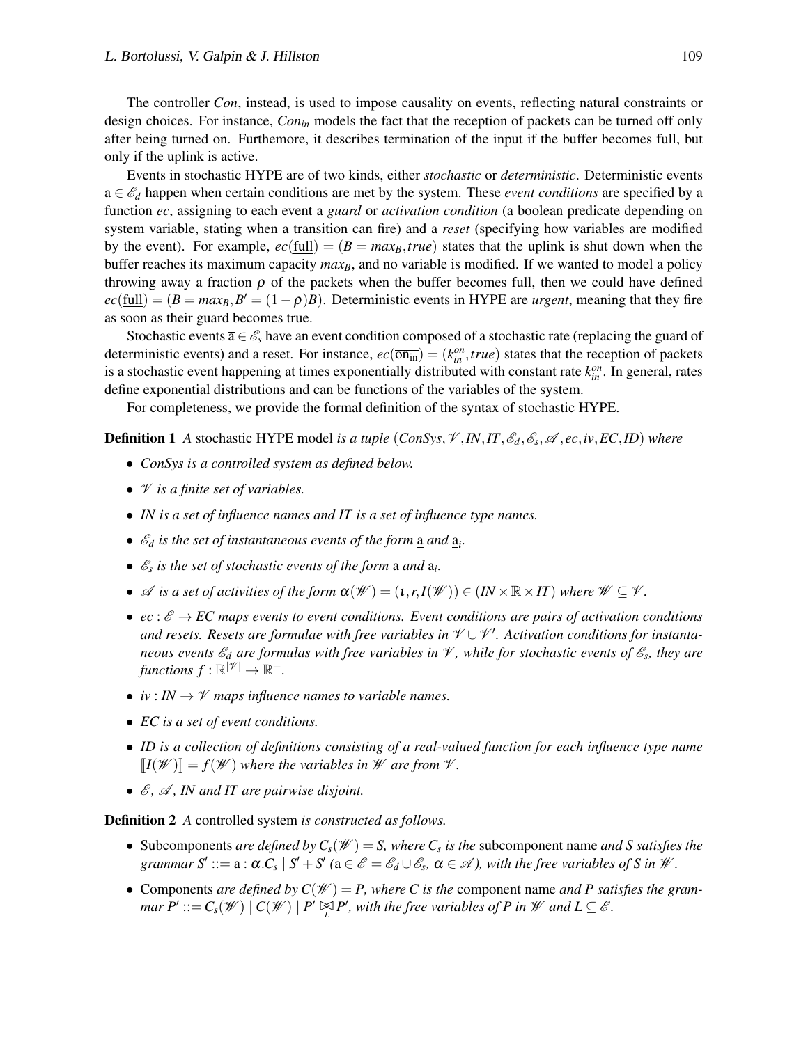The controller *Con*, instead, is used to impose causality on events, reflecting natural constraints or design choices. For instance, *Conin* models the fact that the reception of packets can be turned off only after being turned on. Furthemore, it describes termination of the input if the buffer becomes full, but only if the uplink is active.

Events in stochastic HYPE are of two kinds, either *stochastic* or *deterministic*. Deterministic events a ∈ E*<sup>d</sup>* happen when certain conditions are met by the system. These *event conditions* are specified by a function *ec*, assigning to each event a *guard* or *activation condition* (a boolean predicate depending on system variable, stating when a transition can fire) and a *reset* (specifying how variables are modified by the event). For example,  $ec(full) = (B = max<sub>B</sub>, true)$  states that the uplink is shut down when the buffer reaches its maximum capacity *max<sub>B</sub>*, and no variable is modified. If we wanted to model a policy throwing away a fraction  $\rho$  of the packets when the buffer becomes full, then we could have defined  $ec(\underline{full}) = (B = max_B, B' = (1 - \rho)B)$ . Deterministic events in HYPE are *urgent*, meaning that they fire as soon as their guard becomes true.

Stochastic events  $\bar{a} \in \mathcal{E}_s$  have an event condition composed of a stochastic rate (replacing the guard of deterministic events) and a reset. For instance,  $ec(\overline{\text{on}_{in}}) = (k_{in}^{\text{on}}, true)$  states that the reception of packets is a stochastic event happening at times exponentially distributed with constant rate  $k_{in}^{on}$ . In general, rates define exponential distributions and can be functions of the variables of the system.

For completeness, we provide the formal definition of the syntax of stochastic HYPE.

**Definition 1** A stochastic HYPE model *is a tuple*  $(ConSys, \mathcal{V}, IN, IT, \mathcal{E}_d, \mathcal{E}_s, \mathcal{A}, ec, iv, EC, ID)$  where

- *ConSys is a controlled system as defined below.*
- V *is a finite set of variables.*
- *IN is a set of influence names and IT is a set of influence type names.*
- $\mathcal{E}_d$  *is the set of instantaneous events of the form*  $\underline{a}$  *and*  $\underline{a}_i$ *.*
- $\mathcal{E}_s$  *is the set of stochastic events of the form*  $\overline{a}$  *and*  $\overline{a}_i$ *.*
- $\mathscr A$  *is a set of activities of the form*  $\alpha(\mathscr W) = (1, r, I(\mathscr W)) \in (I\! \times \mathbb R \times I\!T)$  where  $\mathscr W \subseteq \mathscr V$ .
- $ec: \mathscr{E} \to EC$  maps events to event conditions. Event conditions are pairs of activation conditions *and resets. Resets are formulae with free variables in* V ∪V 0 *. Activation conditions for instantaneous events*  $\mathscr{E}_d$  *are formulas with free variables in*  $\mathscr{V}$ *, while for stochastic events of*  $\mathscr{E}_s$ *, they are* functions  $f : \mathbb{R}^{|\mathscr{V}|} \to \mathbb{R}^+.$
- $iv: IN \rightarrow \mathcal{V}$  maps influence names to variable names.
- *EC is a set of event conditions.*
- *ID is a collection of definitions consisting of a real-valued function for each influence type name*  $\llbracket I(\mathcal{W}) \rrbracket = f(\mathcal{W})$  where the variables in W are from  $\mathcal{V}$ .
- $\mathcal{E}, \mathcal{A}, \mathbf{I}N$  and IT are pairwise disjoint.

Definition 2 *A* controlled system *is constructed as follows.*

- Subcomponents *are defined by*  $C_s(W) = S$ *, where*  $C_s$  *is the subcomponent name and S satisfies the* grammar  $S' ::= a : \alpha.C_s \mid S' + S'$  ( $a \in \mathscr{E} = \mathscr{E}_d \cup \mathscr{E}_s$ ,  $\alpha \in \mathscr{A}$ ), with the free variables of S in  $\mathscr{W}$ .
- Components *are defined by*  $C(W) = P$ , where C is the component name *and* P satisfies the gram*mar*  $P' ::= C_s(\mathcal{W}) \mid C(\mathcal{W}) \mid P' \trianglerighteq P'$ , with the free variables of P in W and  $L \subseteq \mathcal{E}$ .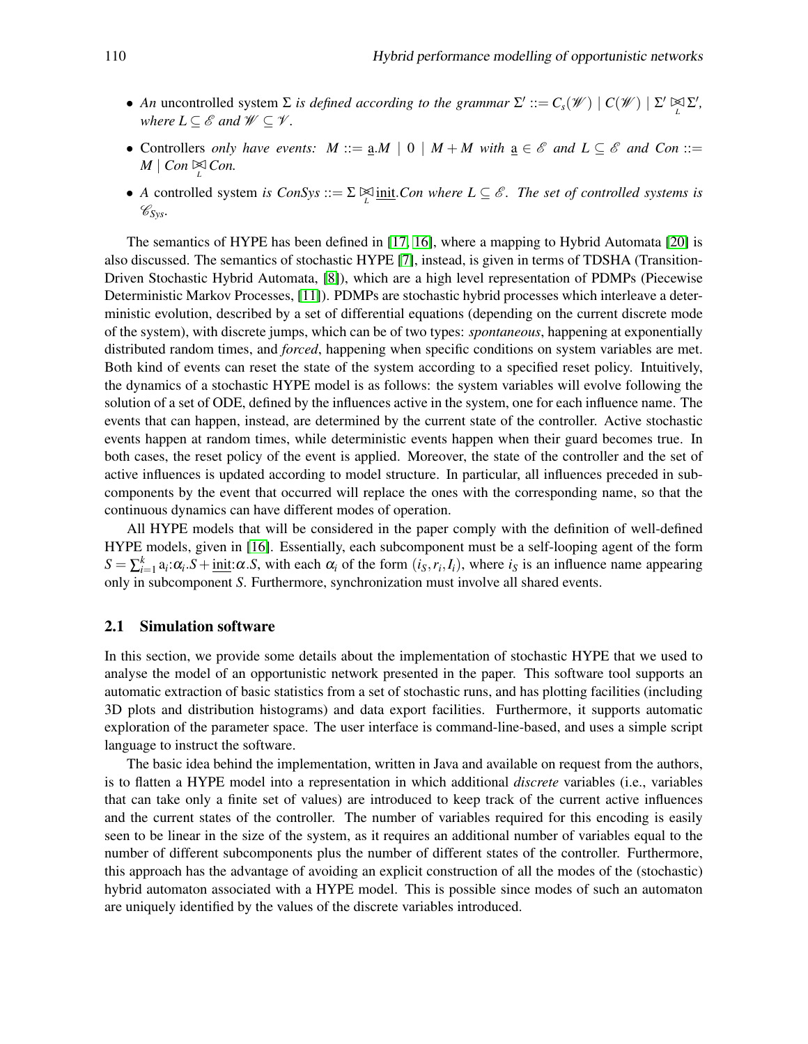- *An* uncontrolled system  $\Sigma$  *is defined according to the grammar*  $\Sigma' ::= C_s(\mathcal{W}) | C(\mathcal{W}) | \Sigma' \boxtimes \Sigma'$ , *where*  $L \subseteq \mathcal{E}$  and  $\mathcal{W} \subseteq \mathcal{V}$ .
- Controllers *only have events:*  $M ::= \underline{a}.M \mid 0 \mid M + M$  with  $\underline{a} \in \mathscr{E}$  and  $L \subseteq \mathscr{E}$  and Con ::=  $M \mid Con \underset{L}{\bowtie} Con.$
- *A* controlled system *is ConSys* ::=  $\Sigma \boxtimes \underline{\text{init}}$ .*Con where L*  $\subseteq \mathscr{E}$ . The set of controlled systems is C*Sys.*

The semantics of HYPE has been defined in [\[17,](#page-15-3) [16\]](#page-15-4), where a mapping to Hybrid Automata [\[20\]](#page-15-6) is also discussed. The semantics of stochastic HYPE [\[7\]](#page-15-5), instead, is given in terms of TDSHA (Transition-Driven Stochastic Hybrid Automata, [\[8\]](#page-15-7)), which are a high level representation of PDMPs (Piecewise Deterministic Markov Processes, [\[11\]](#page-15-8)). PDMPs are stochastic hybrid processes which interleave a deterministic evolution, described by a set of differential equations (depending on the current discrete mode of the system), with discrete jumps, which can be of two types: *spontaneous*, happening at exponentially distributed random times, and *forced*, happening when specific conditions on system variables are met. Both kind of events can reset the state of the system according to a specified reset policy. Intuitively, the dynamics of a stochastic HYPE model is as follows: the system variables will evolve following the solution of a set of ODE, defined by the influences active in the system, one for each influence name. The events that can happen, instead, are determined by the current state of the controller. Active stochastic events happen at random times, while deterministic events happen when their guard becomes true. In both cases, the reset policy of the event is applied. Moreover, the state of the controller and the set of active influences is updated according to model structure. In particular, all influences preceded in subcomponents by the event that occurred will replace the ones with the corresponding name, so that the continuous dynamics can have different modes of operation.

All HYPE models that will be considered in the paper comply with the definition of well-defined HYPE models, given in [\[16\]](#page-15-4). Essentially, each subcomponent must be a self-looping agent of the form  $S = \sum_{i=1}^{k} a_i \alpha_i S + \text{init:}\alpha S$ , with each  $\alpha_i$  of the form  $(i_S, r_i, I_i)$ , where  $i_S$  is an influence name appearing only in subcomponent *S*. Furthermore, synchronization must involve all shared events.

#### 2.1 Simulation software

In this section, we provide some details about the implementation of stochastic HYPE that we used to analyse the model of an opportunistic network presented in the paper. This software tool supports an automatic extraction of basic statistics from a set of stochastic runs, and has plotting facilities (including 3D plots and distribution histograms) and data export facilities. Furthermore, it supports automatic exploration of the parameter space. The user interface is command-line-based, and uses a simple script language to instruct the software.

The basic idea behind the implementation, written in Java and available on request from the authors, is to flatten a HYPE model into a representation in which additional *discrete* variables (i.e., variables that can take only a finite set of values) are introduced to keep track of the current active influences and the current states of the controller. The number of variables required for this encoding is easily seen to be linear in the size of the system, as it requires an additional number of variables equal to the number of different subcomponents plus the number of different states of the controller. Furthermore, this approach has the advantage of avoiding an explicit construction of all the modes of the (stochastic) hybrid automaton associated with a HYPE model. This is possible since modes of such an automaton are uniquely identified by the values of the discrete variables introduced.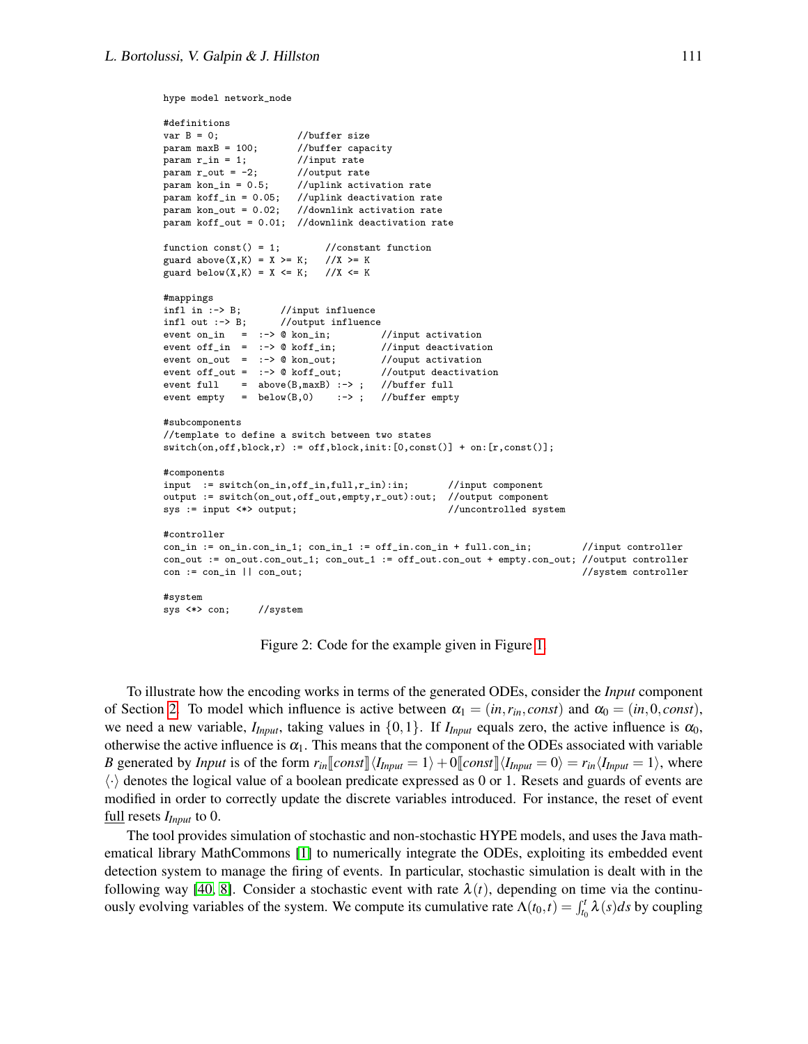```
hype model network_node
```

```
#definitions
var B = 0; //buffer size<br>param maxB = 100; //buffer capa
                        //buffer capacity
param r_in = 1; //input rate
param r_out = -2;
param kon_in = 0.5; //uplink activation rate
param koff_in = 0.05; //uplink deactivation rate
param kon_out = 0.02; //downlink activation rate
param koff_out = 0.01; //downlink deactivation rate
function const() = 1; //constant function<br>guard above(X,K) = X >= K; //X >= K
guard above(X,K) = X \geq K;guard below(X,K) = X \le K; //X \le K#mappings<br>infl in :-> B;
                      //input influence
infl out :-> B; //output influence<br>event on_in = :-> @ kon_in; //input activation
event on_in = :-> @ kon_in;
event off_in = :- > @ koff_in; //input deactivation<br>event on_out = :- > @ kon_out; //ouput activation
event on out = :-> 0 kon out:
event off_out = :-> @ koff_out; //output deactivation
event full = above(B,maxB) :-> ; //buffer full
event empty = below(B,0) :-> ; //buffer empty
#subcomponents
//template to define a switch between two states
switch(on,off,block,r) := off,block,init:[0,const()] + on:[r,const()];
#components
\begin{tabular}{ll} \bf{input} \end{tabular} \begin{tabular}{ll} \bf{input} \end{tabular} \begin{tabular}{ll} \bf{input} \end{tabular} \begin{tabular}{ll} \bf{input} \end{tabular} \end{tabular}output := switch(on_out,off_out,empty,r_out):out; //output component
sys := input <*> output; //uncontrolled system
#controller
con_in := on_incon_in_1; con_in_1 := off_incon_in + full.com_in; //input controller
con_out := on_out.con_out_1; con_out_1 := off_out.con_out + empty.con_out; //output controller
con := con_in || con_out; //system controller
#system
sys <*> con; //system
```
<span id="page-6-0"></span>Figure 2: Code for the example given in Figure [1.](#page-3-0)

To illustrate how the encoding works in terms of the generated ODEs, consider the *Input* component of Section [2.](#page-2-0) To model which influence is active between  $\alpha_1 = (in, r_{in}, const)$  and  $\alpha_0 = (in, 0, const)$ , we need a new variable,  $I_{Input}$ , taking values in  $\{0,1\}$ . If  $I_{Input}$  equals zero, the active influence is  $\alpha_0$ , otherwise the active influence is  $\alpha_1$ . This means that the component of the ODEs associated with variable *B* generated by *Input* is of the form  $r_{in}$   $\llbracket const \rrbracket \langle I_{Input} = 1 \rangle + 0 \llbracket const \rrbracket \langle I_{Input} = 0 \rangle = r_{in} \langle I_{Input} = 1 \rangle$ , where  $\langle \cdot \rangle$  denotes the logical value of a boolean predicate expressed as 0 or 1. Resets and guards of events are modified in order to correctly update the discrete variables introduced. For instance, the reset of event full resets *IInput* to 0.

The tool provides simulation of stochastic and non-stochastic HYPE models, and uses the Java mathematical library MathCommons [\[1\]](#page-14-0) to numerically integrate the ODEs, exploiting its embedded event detection system to manage the firing of events. In particular, stochastic simulation is dealt with in the following way [\[40,](#page-16-3) [8\]](#page-15-7). Consider a stochastic event with rate  $\lambda(t)$ , depending on time via the continuously evolving variables of the system. We compute its cumulative rate  $\Lambda(t_0,t) = \int_{t_0}^t \lambda(s) ds$  by coupling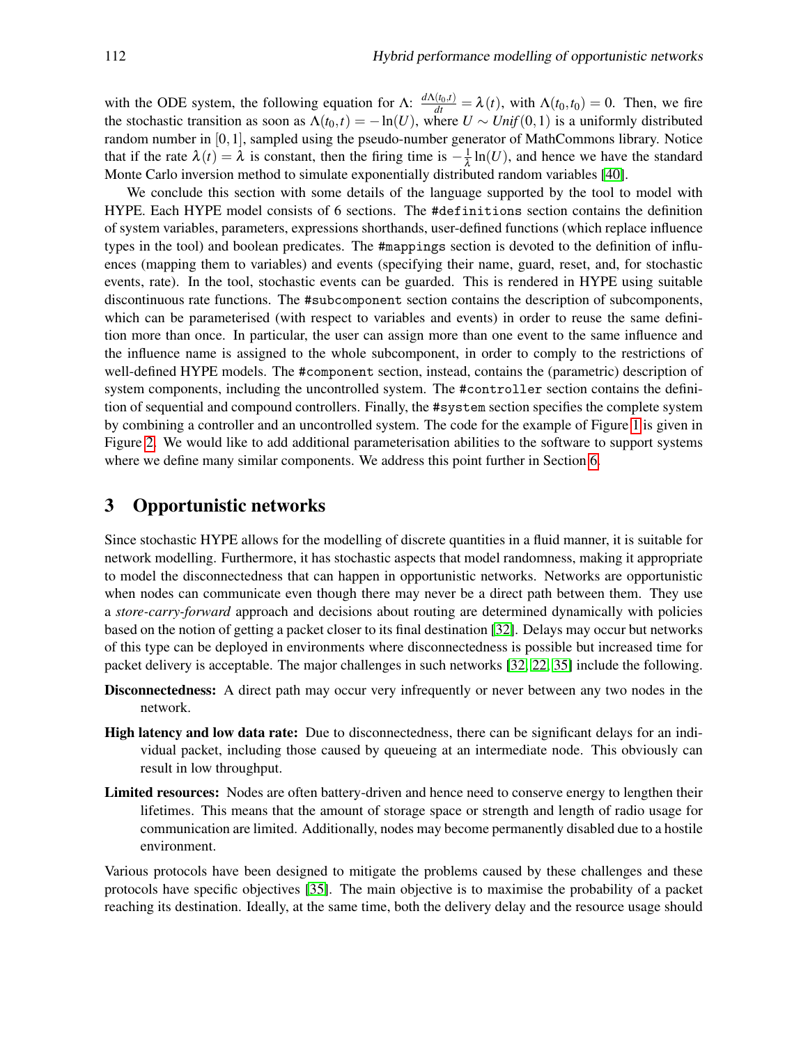with the ODE system, the following equation for  $\Lambda$ :  $\frac{d\Lambda(t_0,t)}{dt} = \lambda(t)$ , with  $\Lambda(t_0,t_0) = 0$ . Then, we fire the stochastic transition as soon as  $\Lambda(t_0,t) = -\ln(U)$ , where  $U \sim Unif(0,1)$  is a uniformly distributed random number in [0,1], sampled using the pseudo-number generator of MathCommons library. Notice that if the rate  $\lambda(t) = \lambda$  is constant, then the firing time is  $-\frac{1}{\lambda}$  $\frac{1}{\lambda} \ln(U)$ , and hence we have the standard Monte Carlo inversion method to simulate exponentially distributed random variables [\[40\]](#page-16-3).

We conclude this section with some details of the language supported by the tool to model with HYPE. Each HYPE model consists of 6 sections. The #definitions section contains the definition of system variables, parameters, expressions shorthands, user-defined functions (which replace influence types in the tool) and boolean predicates. The #mappings section is devoted to the definition of influences (mapping them to variables) and events (specifying their name, guard, reset, and, for stochastic events, rate). In the tool, stochastic events can be guarded. This is rendered in HYPE using suitable discontinuous rate functions. The #subcomponent section contains the description of subcomponents, which can be parameterised (with respect to variables and events) in order to reuse the same definition more than once. In particular, the user can assign more than one event to the same influence and the influence name is assigned to the whole subcomponent, in order to comply to the restrictions of well-defined HYPE models. The #component section, instead, contains the (parametric) description of system components, including the uncontrolled system. The #controller section contains the definition of sequential and compound controllers. Finally, the #system section specifies the complete system by combining a controller and an uncontrolled system. The code for the example of Figure [1](#page-3-0) is given in Figure [2.](#page-6-0) We would like to add additional parameterisation abilities to the software to support systems where we define many similar components. We address this point further in Section [6.](#page-13-0)

# 3 Opportunistic networks

Since stochastic HYPE allows for the modelling of discrete quantities in a fluid manner, it is suitable for network modelling. Furthermore, it has stochastic aspects that model randomness, making it appropriate to model the disconnectedness that can happen in opportunistic networks. Networks are opportunistic when nodes can communicate even though there may never be a direct path between them. They use a *store-carry-forward* approach and decisions about routing are determined dynamically with policies based on the notion of getting a packet closer to its final destination [\[32\]](#page-16-1). Delays may occur but networks of this type can be deployed in environments where disconnectedness is possible but increased time for packet delivery is acceptable. The major challenges in such networks [\[32,](#page-16-1) [22,](#page-15-2) [35\]](#page-16-4) include the following.

- Disconnectedness: A direct path may occur very infrequently or never between any two nodes in the network.
- High latency and low data rate: Due to disconnectedness, there can be significant delays for an individual packet, including those caused by queueing at an intermediate node. This obviously can result in low throughput.
- Limited resources: Nodes are often battery-driven and hence need to conserve energy to lengthen their lifetimes. This means that the amount of storage space or strength and length of radio usage for communication are limited. Additionally, nodes may become permanently disabled due to a hostile environment.

Various protocols have been designed to mitigate the problems caused by these challenges and these protocols have specific objectives [\[35\]](#page-16-4). The main objective is to maximise the probability of a packet reaching its destination. Ideally, at the same time, both the delivery delay and the resource usage should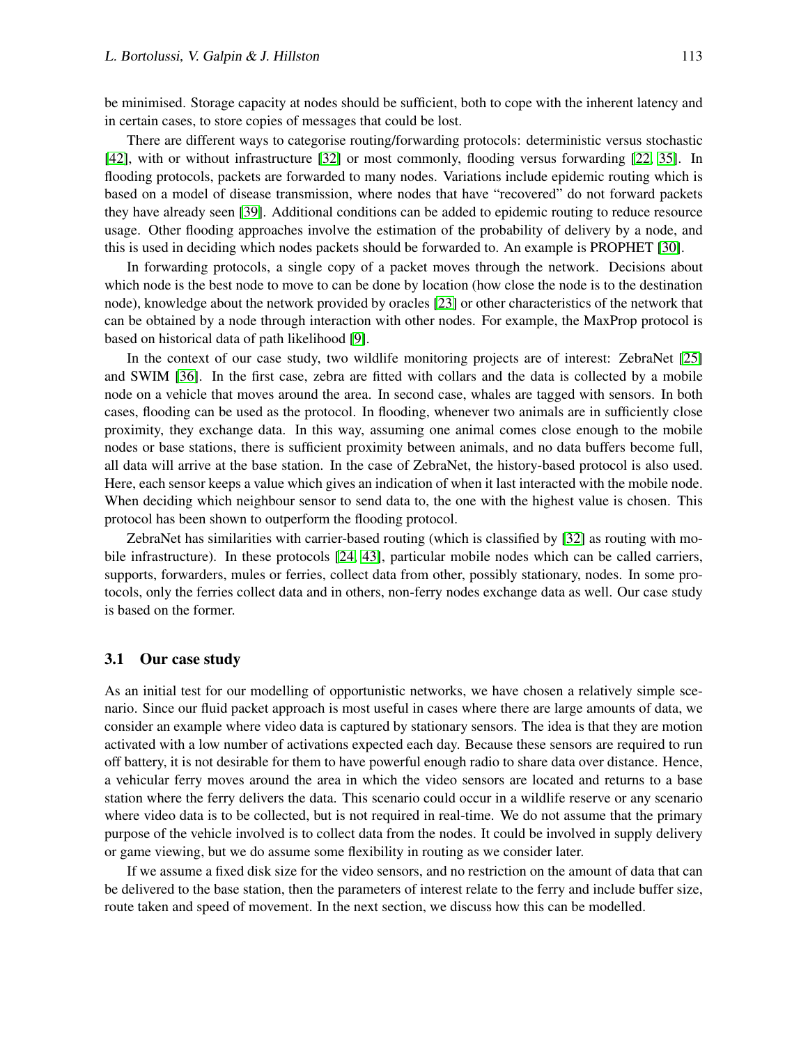be minimised. Storage capacity at nodes should be sufficient, both to cope with the inherent latency and in certain cases, to store copies of messages that could be lost.

There are different ways to categorise routing/forwarding protocols: deterministic versus stochastic [\[42\]](#page-16-5), with or without infrastructure [\[32\]](#page-16-1) or most commonly, flooding versus forwarding [\[22,](#page-15-2) [35\]](#page-16-4). In flooding protocols, packets are forwarded to many nodes. Variations include epidemic routing which is based on a model of disease transmission, where nodes that have "recovered" do not forward packets they have already seen [\[39\]](#page-16-6). Additional conditions can be added to epidemic routing to reduce resource usage. Other flooding approaches involve the estimation of the probability of delivery by a node, and this is used in deciding which nodes packets should be forwarded to. An example is PROPHET [\[30\]](#page-16-7).

In forwarding protocols, a single copy of a packet moves through the network. Decisions about which node is the best node to move to can be done by location (how close the node is to the destination node), knowledge about the network provided by oracles [\[23\]](#page-16-8) or other characteristics of the network that can be obtained by a node through interaction with other nodes. For example, the MaxProp protocol is based on historical data of path likelihood [\[9\]](#page-15-9).

In the context of our case study, two wildlife monitoring projects are of interest: ZebraNet [\[25\]](#page-16-9) and SWIM [\[36\]](#page-16-10). In the first case, zebra are fitted with collars and the data is collected by a mobile node on a vehicle that moves around the area. In second case, whales are tagged with sensors. In both cases, flooding can be used as the protocol. In flooding, whenever two animals are in sufficiently close proximity, they exchange data. In this way, assuming one animal comes close enough to the mobile nodes or base stations, there is sufficient proximity between animals, and no data buffers become full, all data will arrive at the base station. In the case of ZebraNet, the history-based protocol is also used. Here, each sensor keeps a value which gives an indication of when it last interacted with the mobile node. When deciding which neighbour sensor to send data to, the one with the highest value is chosen. This protocol has been shown to outperform the flooding protocol.

ZebraNet has similarities with carrier-based routing (which is classified by [\[32\]](#page-16-1) as routing with mobile infrastructure). In these protocols [\[24,](#page-16-11) [43\]](#page-16-12), particular mobile nodes which can be called carriers, supports, forwarders, mules or ferries, collect data from other, possibly stationary, nodes. In some protocols, only the ferries collect data and in others, non-ferry nodes exchange data as well. Our case study is based on the former.

#### 3.1 Our case study

As an initial test for our modelling of opportunistic networks, we have chosen a relatively simple scenario. Since our fluid packet approach is most useful in cases where there are large amounts of data, we consider an example where video data is captured by stationary sensors. The idea is that they are motion activated with a low number of activations expected each day. Because these sensors are required to run off battery, it is not desirable for them to have powerful enough radio to share data over distance. Hence, a vehicular ferry moves around the area in which the video sensors are located and returns to a base station where the ferry delivers the data. This scenario could occur in a wildlife reserve or any scenario where video data is to be collected, but is not required in real-time. We do not assume that the primary purpose of the vehicle involved is to collect data from the nodes. It could be involved in supply delivery or game viewing, but we do assume some flexibility in routing as we consider later.

If we assume a fixed disk size for the video sensors, and no restriction on the amount of data that can be delivered to the base station, then the parameters of interest relate to the ferry and include buffer size, route taken and speed of movement. In the next section, we discuss how this can be modelled.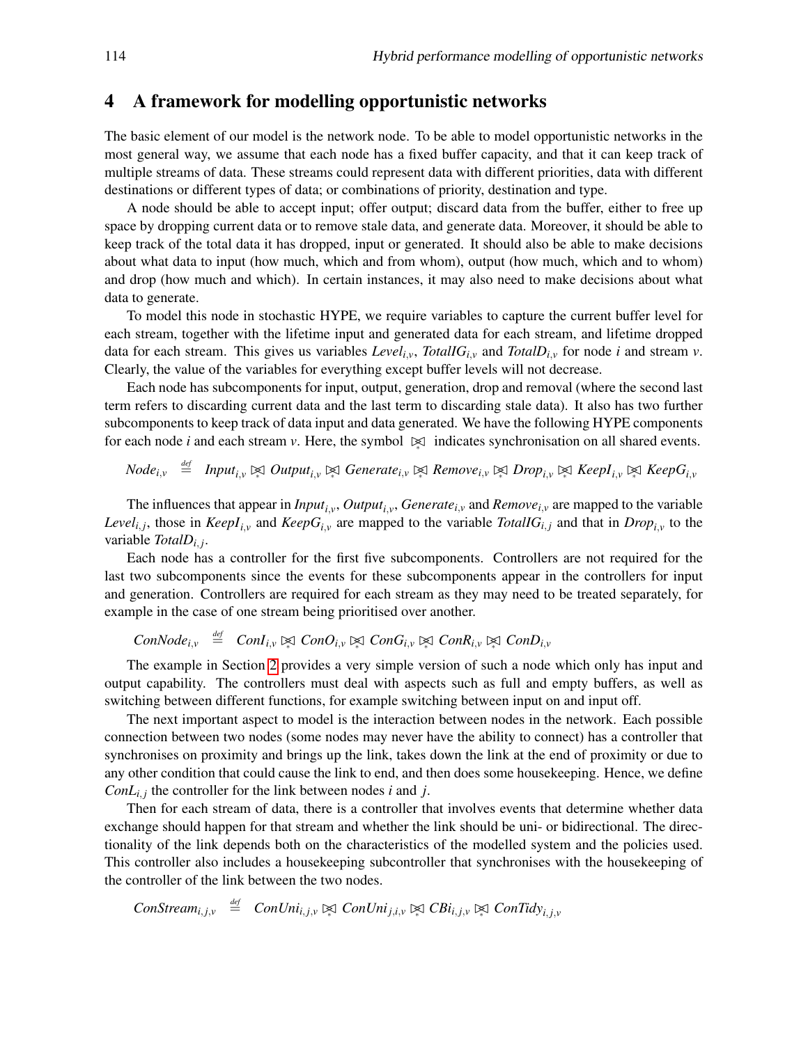# <span id="page-9-0"></span>4 A framework for modelling opportunistic networks

The basic element of our model is the network node. To be able to model opportunistic networks in the most general way, we assume that each node has a fixed buffer capacity, and that it can keep track of multiple streams of data. These streams could represent data with different priorities, data with different destinations or different types of data; or combinations of priority, destination and type.

A node should be able to accept input; offer output; discard data from the buffer, either to free up space by dropping current data or to remove stale data, and generate data. Moreover, it should be able to keep track of the total data it has dropped, input or generated. It should also be able to make decisions about what data to input (how much, which and from whom), output (how much, which and to whom) and drop (how much and which). In certain instances, it may also need to make decisions about what data to generate.

To model this node in stochastic HYPE, we require variables to capture the current buffer level for each stream, together with the lifetime input and generated data for each stream, and lifetime dropped data for each stream. This gives us variables *Level*<sub>*i*,*v*</sub>, *TotalIG*<sub>*i*,*v*</sub> and *TotalD*<sub>*i*,*v*</sub> for node *i* and stream *v*. Clearly, the value of the variables for everything except buffer levels will not decrease.

Each node has subcomponents for input, output, generation, drop and removal (where the second last term refers to discarding current data and the last term to discarding stale data). It also has two further subcomponents to keep track of data input and data generated. We have the following HYPE components for each node *i* and each stream *v*. Here, the symbol  $\approx$  indicates synchronisation on all shared events.

 $Node_{i,v} \stackrel{\textit{def}}{=} \textit{Input}_{i,v} \Join \textit{Output}_{i,v} \Join \textit{Generate}_{i,v} \Join \textit{Remove}_{i,v} \Join \textit{Drop}_{i,v} \Join \textit{KeepI}_{i,v} \Join \textit{KeepG}_{i,v}$ 

The influences that appear in *Inputi*,*<sup>v</sup>* , *Outputi*,*<sup>v</sup>* , *Generatei*,*<sup>v</sup>* and *Removei*,*<sup>v</sup>* are mapped to the variable *Level*<sub>*i*,*j*</sub>, those in *KeepI*<sub>*i*,*v*</sub> and *KeepG*<sub>*i*,*v*</sub> are mapped to the variable *TotalIG*<sub>*i*</sub>, and that in *Drop*<sub>*i*</sub>, to the variable *TotalDi*, *<sup>j</sup>* .

Each node has a controller for the first five subcomponents. Controllers are not required for the last two subcomponents since the events for these subcomponents appear in the controllers for input and generation. Controllers are required for each stream as they may need to be treated separately, for example in the case of one stream being prioritised over another.

 $ConNode_{i,v} \stackrel{\text{def}}{=} ConI_{i,v} \bowtie \text{Con}O_{i,v} \bowtie \text{Con}G_{i,v} \bowtie \text{Con}R_{i,v} \bowtie \text{Con}D_{i,v}$ 

The example in Section [2](#page-2-0) provides a very simple version of such a node which only has input and output capability. The controllers must deal with aspects such as full and empty buffers, as well as switching between different functions, for example switching between input on and input off.

The next important aspect to model is the interaction between nodes in the network. Each possible connection between two nodes (some nodes may never have the ability to connect) has a controller that synchronises on proximity and brings up the link, takes down the link at the end of proximity or due to any other condition that could cause the link to end, and then does some housekeeping. Hence, we define *ConL*<sub>*i*</sub>,*j* the controller for the link between nodes *i* and *j*.

Then for each stream of data, there is a controller that involves events that determine whether data exchange should happen for that stream and whether the link should be uni- or bidirectional. The directionality of the link depends both on the characteristics of the modelled system and the policies used. This controller also includes a housekeeping subcontroller that synchronises with the housekeeping of the controller of the link between the two nodes.

ConStream<sub>i,j,v</sub>  $\stackrel{def}{=}$  ConUni<sub>i,j,v</sub>  $\bowtie$  ConUni<sub>j,i,v</sub>  $\bowtie$  CBi<sub>i,j,v</sub>  $\bowtie$  ConTidy<sub>i,j,v</sub>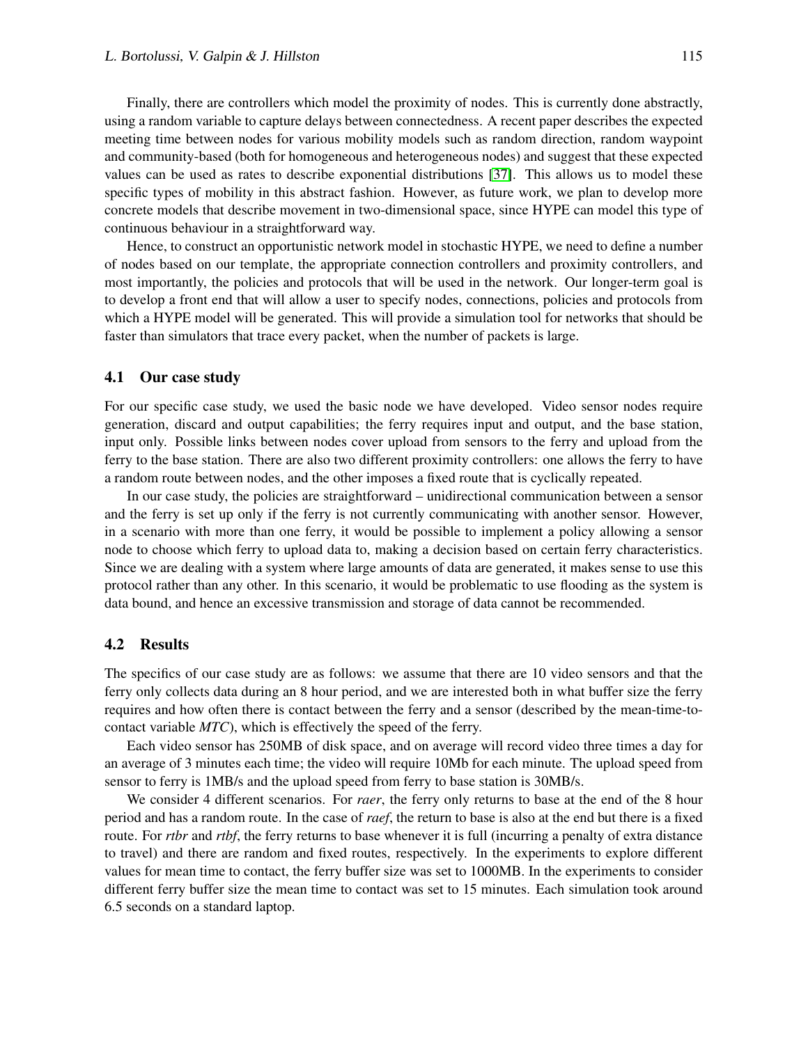Finally, there are controllers which model the proximity of nodes. This is currently done abstractly, using a random variable to capture delays between connectedness. A recent paper describes the expected meeting time between nodes for various mobility models such as random direction, random waypoint and community-based (both for homogeneous and heterogeneous nodes) and suggest that these expected values can be used as rates to describe exponential distributions [\[37\]](#page-16-13). This allows us to model these specific types of mobility in this abstract fashion. However, as future work, we plan to develop more concrete models that describe movement in two-dimensional space, since HYPE can model this type of continuous behaviour in a straightforward way.

Hence, to construct an opportunistic network model in stochastic HYPE, we need to define a number of nodes based on our template, the appropriate connection controllers and proximity controllers, and most importantly, the policies and protocols that will be used in the network. Our longer-term goal is to develop a front end that will allow a user to specify nodes, connections, policies and protocols from which a HYPE model will be generated. This will provide a simulation tool for networks that should be faster than simulators that trace every packet, when the number of packets is large.

#### 4.1 Our case study

For our specific case study, we used the basic node we have developed. Video sensor nodes require generation, discard and output capabilities; the ferry requires input and output, and the base station, input only. Possible links between nodes cover upload from sensors to the ferry and upload from the ferry to the base station. There are also two different proximity controllers: one allows the ferry to have a random route between nodes, and the other imposes a fixed route that is cyclically repeated.

In our case study, the policies are straightforward – unidirectional communication between a sensor and the ferry is set up only if the ferry is not currently communicating with another sensor. However, in a scenario with more than one ferry, it would be possible to implement a policy allowing a sensor node to choose which ferry to upload data to, making a decision based on certain ferry characteristics. Since we are dealing with a system where large amounts of data are generated, it makes sense to use this protocol rather than any other. In this scenario, it would be problematic to use flooding as the system is data bound, and hence an excessive transmission and storage of data cannot be recommended.

### <span id="page-10-0"></span>4.2 Results

The specifics of our case study are as follows: we assume that there are 10 video sensors and that the ferry only collects data during an 8 hour period, and we are interested both in what buffer size the ferry requires and how often there is contact between the ferry and a sensor (described by the mean-time-tocontact variable *MTC*), which is effectively the speed of the ferry.

Each video sensor has 250MB of disk space, and on average will record video three times a day for an average of 3 minutes each time; the video will require 10Mb for each minute. The upload speed from sensor to ferry is 1MB/s and the upload speed from ferry to base station is 30MB/s.

We consider 4 different scenarios. For *raer*, the ferry only returns to base at the end of the 8 hour period and has a random route. In the case of *raef*, the return to base is also at the end but there is a fixed route. For *rtbr* and *rtbf*, the ferry returns to base whenever it is full (incurring a penalty of extra distance to travel) and there are random and fixed routes, respectively. In the experiments to explore different values for mean time to contact, the ferry buffer size was set to 1000MB. In the experiments to consider different ferry buffer size the mean time to contact was set to 15 minutes. Each simulation took around 6.5 seconds on a standard laptop.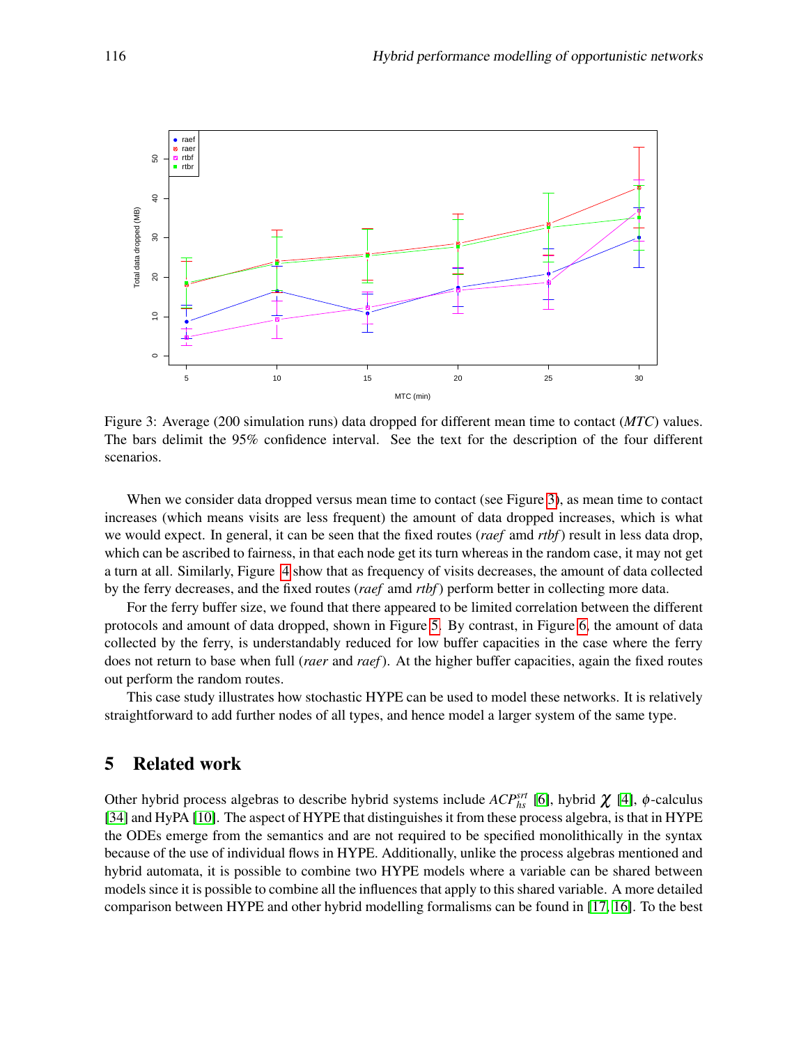

<span id="page-11-1"></span>Figure 3: Average (200 simulation runs) data dropped for different mean time to contact (*MTC*) values. The bars delimit the 95% confidence interval. See the text for the description of the four different scenarios.

When we consider data dropped versus mean time to contact (see Figure [3\)](#page-11-1), as mean time to contact increases (which means visits are less frequent) the amount of data dropped increases, which is what we would expect. In general, it can be seen that the fixed routes (*raef* amd *rtbf*) result in less data drop, which can be ascribed to fairness, in that each node get its turn whereas in the random case, it may not get a turn at all. Similarly, Figure [4](#page-12-0) show that as frequency of visits decreases, the amount of data collected by the ferry decreases, and the fixed routes (*raef* amd *rtbf*) perform better in collecting more data.

For the ferry buffer size, we found that there appeared to be limited correlation between the different protocols and amount of data dropped, shown in Figure [5.](#page-13-1) By contrast, in Figure [6,](#page-14-1) the amount of data collected by the ferry, is understandably reduced for low buffer capacities in the case where the ferry does not return to base when full (*raer* and *raef*). At the higher buffer capacities, again the fixed routes out perform the random routes.

This case study illustrates how stochastic HYPE can be used to model these networks. It is relatively straightforward to add further nodes of all types, and hence model a larger system of the same type.

# <span id="page-11-0"></span>5 Related work

Other hybrid process algebras to describe hybrid systems include  $ACP_{hs}^{srt}$  [\[6\]](#page-15-10), hybrid  $\chi$  [\[4\]](#page-15-11),  $\phi$ -calculus [\[34\]](#page-16-14) and HyPA [\[10\]](#page-15-12). The aspect of HYPE that distinguishes it from these process algebra, is that in HYPE the ODEs emerge from the semantics and are not required to be specified monolithically in the syntax because of the use of individual flows in HYPE. Additionally, unlike the process algebras mentioned and hybrid automata, it is possible to combine two HYPE models where a variable can be shared between models since it is possible to combine all the influences that apply to this shared variable. A more detailed comparison between HYPE and other hybrid modelling formalisms can be found in [\[17,](#page-15-3) [16\]](#page-15-4). To the best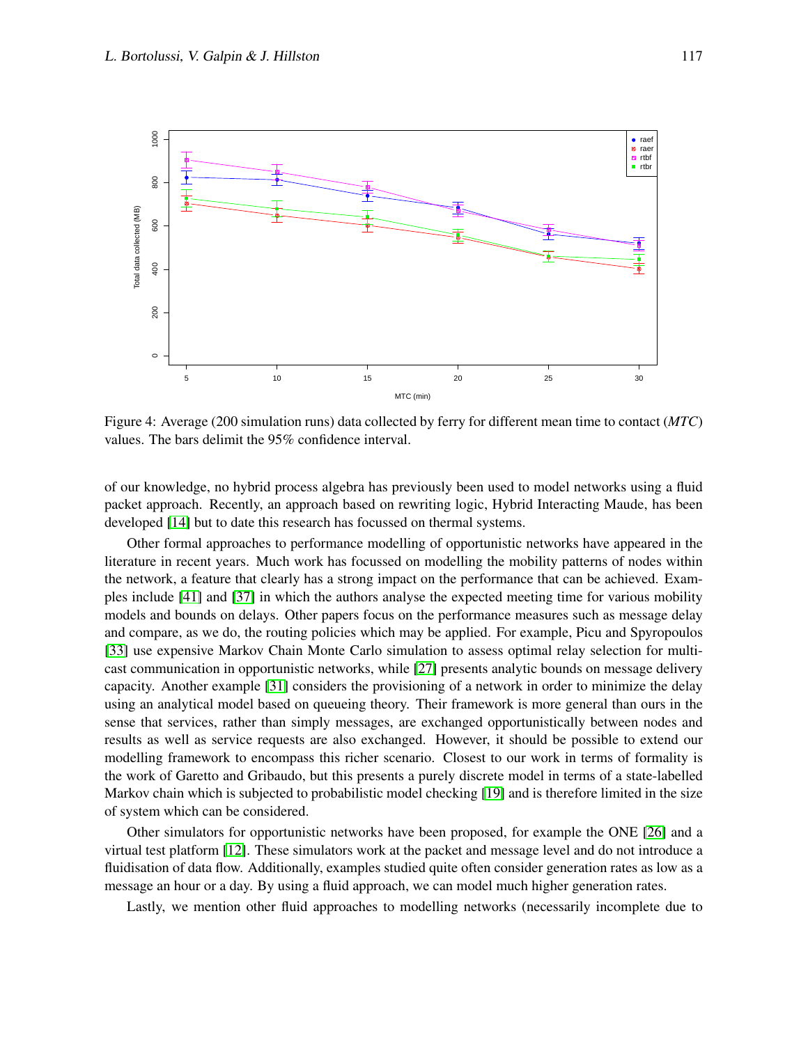

<span id="page-12-0"></span>Figure 4: Average (200 simulation runs) data collected by ferry for different mean time to contact (*MTC*) values. The bars delimit the 95% confidence interval.

of our knowledge, no hybrid process algebra has previously been used to model networks using a fluid packet approach. Recently, an approach based on rewriting logic, Hybrid Interacting Maude, has been developed [\[14\]](#page-15-13) but to date this research has focussed on thermal systems.

Other formal approaches to performance modelling of opportunistic networks have appeared in the literature in recent years. Much work has focussed on modelling the mobility patterns of nodes within the network, a feature that clearly has a strong impact on the performance that can be achieved. Examples include [\[41\]](#page-16-15) and [\[37\]](#page-16-13) in which the authors analyse the expected meeting time for various mobility models and bounds on delays. Other papers focus on the performance measures such as message delay and compare, as we do, the routing policies which may be applied. For example, Picu and Spyropoulos [\[33\]](#page-16-16) use expensive Markov Chain Monte Carlo simulation to assess optimal relay selection for multicast communication in opportunistic networks, while [\[27\]](#page-16-17) presents analytic bounds on message delivery capacity. Another example [\[31\]](#page-16-18) considers the provisioning of a network in order to minimize the delay using an analytical model based on queueing theory. Their framework is more general than ours in the sense that services, rather than simply messages, are exchanged opportunistically between nodes and results as well as service requests are also exchanged. However, it should be possible to extend our modelling framework to encompass this richer scenario. Closest to our work in terms of formality is the work of Garetto and Gribaudo, but this presents a purely discrete model in terms of a state-labelled Markov chain which is subjected to probabilistic model checking [\[19\]](#page-15-14) and is therefore limited in the size of system which can be considered.

Other simulators for opportunistic networks have been proposed, for example the ONE [\[26\]](#page-16-19) and a virtual test platform [\[12\]](#page-15-15). These simulators work at the packet and message level and do not introduce a fluidisation of data flow. Additionally, examples studied quite often consider generation rates as low as a message an hour or a day. By using a fluid approach, we can model much higher generation rates.

Lastly, we mention other fluid approaches to modelling networks (necessarily incomplete due to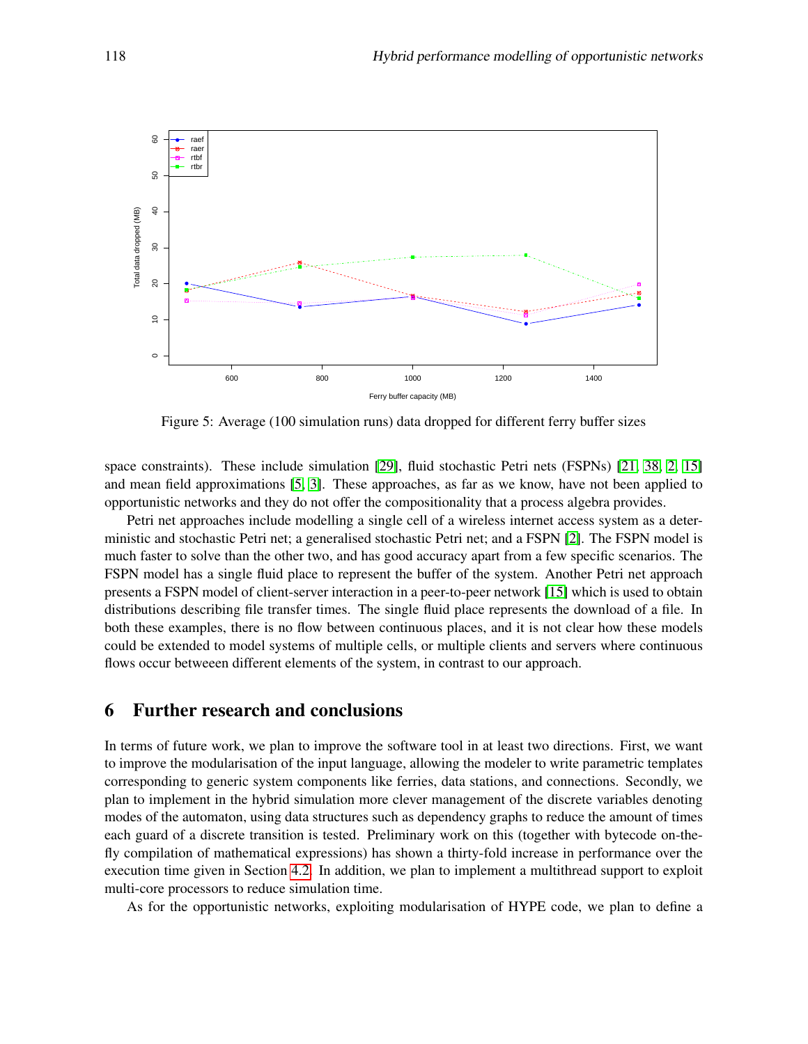

<span id="page-13-1"></span>Figure 5: Average (100 simulation runs) data dropped for different ferry buffer sizes

space constraints). These include simulation [\[29\]](#page-16-20), fluid stochastic Petri nets (FSPNs) [\[21,](#page-15-16) [38,](#page-16-21) [2,](#page-15-17) [15\]](#page-15-18) and mean field approximations [\[5,](#page-15-19) [3\]](#page-15-20). These approaches, as far as we know, have not been applied to opportunistic networks and they do not offer the compositionality that a process algebra provides.

Petri net approaches include modelling a single cell of a wireless internet access system as a deterministic and stochastic Petri net; a generalised stochastic Petri net; and a FSPN [\[2\]](#page-15-17). The FSPN model is much faster to solve than the other two, and has good accuracy apart from a few specific scenarios. The FSPN model has a single fluid place to represent the buffer of the system. Another Petri net approach presents a FSPN model of client-server interaction in a peer-to-peer network [\[15\]](#page-15-18) which is used to obtain distributions describing file transfer times. The single fluid place represents the download of a file. In both these examples, there is no flow between continuous places, and it is not clear how these models could be extended to model systems of multiple cells, or multiple clients and servers where continuous flows occur betweeen different elements of the system, in contrast to our approach.

# <span id="page-13-0"></span>6 Further research and conclusions

In terms of future work, we plan to improve the software tool in at least two directions. First, we want to improve the modularisation of the input language, allowing the modeler to write parametric templates corresponding to generic system components like ferries, data stations, and connections. Secondly, we plan to implement in the hybrid simulation more clever management of the discrete variables denoting modes of the automaton, using data structures such as dependency graphs to reduce the amount of times each guard of a discrete transition is tested. Preliminary work on this (together with bytecode on-thefly compilation of mathematical expressions) has shown a thirty-fold increase in performance over the execution time given in Section [4.2.](#page-10-0) In addition, we plan to implement a multithread support to exploit multi-core processors to reduce simulation time.

As for the opportunistic networks, exploiting modularisation of HYPE code, we plan to define a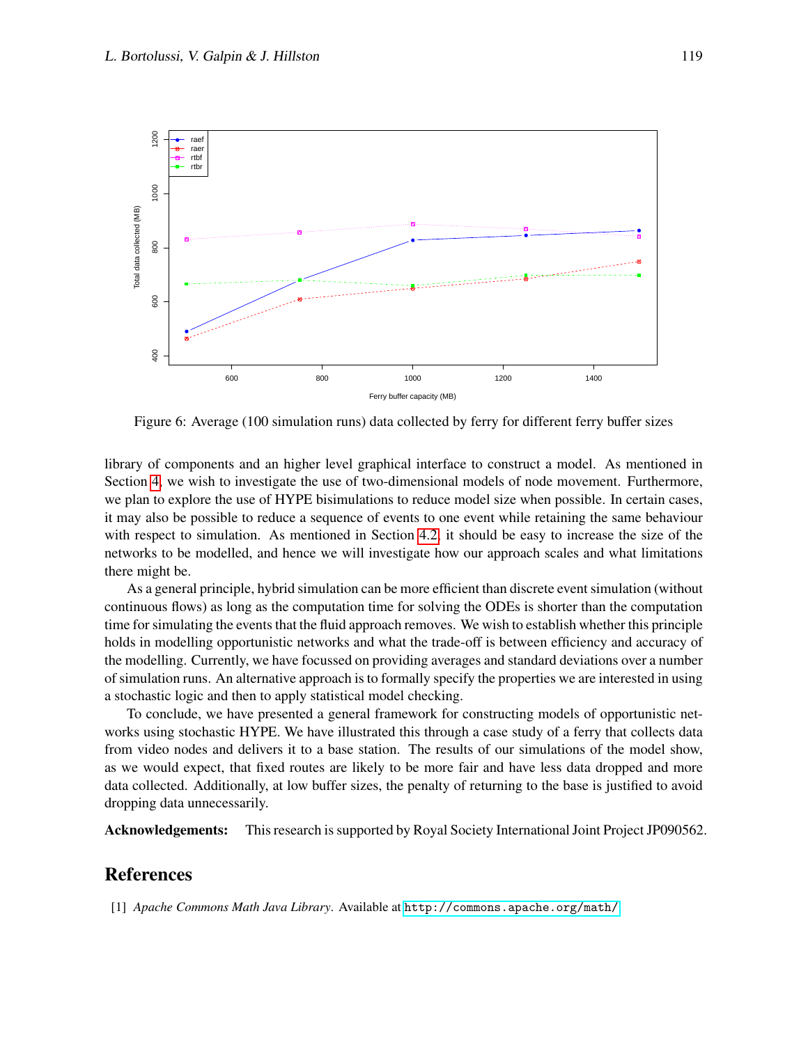

<span id="page-14-1"></span>Figure 6: Average (100 simulation runs) data collected by ferry for different ferry buffer sizes

library of components and an higher level graphical interface to construct a model. As mentioned in Section [4,](#page-9-0) we wish to investigate the use of two-dimensional models of node movement. Furthermore, we plan to explore the use of HYPE bisimulations to reduce model size when possible. In certain cases, it may also be possible to reduce a sequence of events to one event while retaining the same behaviour with respect to simulation. As mentioned in Section [4.2,](#page-10-0) it should be easy to increase the size of the networks to be modelled, and hence we will investigate how our approach scales and what limitations there might be.

As a general principle, hybrid simulation can be more efficient than discrete event simulation (without continuous flows) as long as the computation time for solving the ODEs is shorter than the computation time for simulating the events that the fluid approach removes. We wish to establish whether this principle holds in modelling opportunistic networks and what the trade-off is between efficiency and accuracy of the modelling. Currently, we have focussed on providing averages and standard deviations over a number of simulation runs. An alternative approach is to formally specify the properties we are interested in using a stochastic logic and then to apply statistical model checking.

To conclude, we have presented a general framework for constructing models of opportunistic networks using stochastic HYPE. We have illustrated this through a case study of a ferry that collects data from video nodes and delivers it to a base station. The results of our simulations of the model show, as we would expect, that fixed routes are likely to be more fair and have less data dropped and more data collected. Additionally, at low buffer sizes, the penalty of returning to the base is justified to avoid dropping data unnecessarily.

Acknowledgements: This research is supported by Royal Society International Joint Project JP090562.

# References

<span id="page-14-0"></span>[1] *Apache Commons Math Java Library*. Available at <http://commons.apache.org/math/>.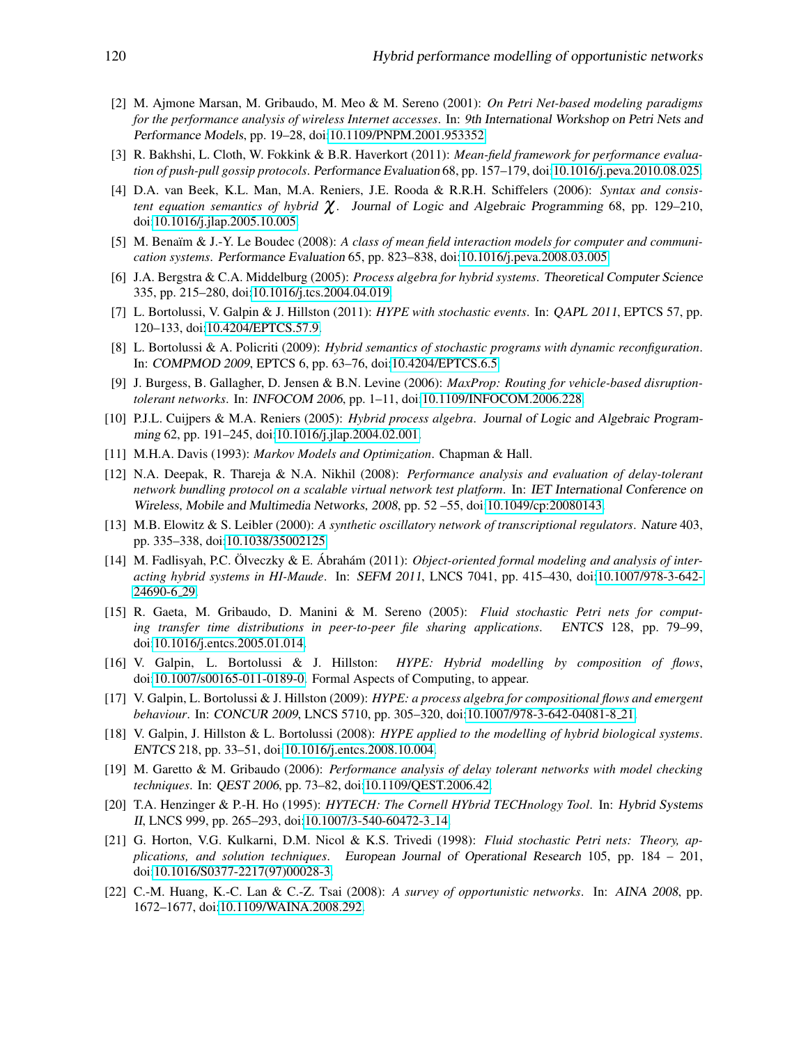- <span id="page-15-17"></span>[2] M. Ajmone Marsan, M. Gribaudo, M. Meo & M. Sereno (2001): *On Petri Net-based modeling paradigms for the performance analysis of wireless Internet accesses*. In: 9th International Workshop on Petri Nets and Performance Models, pp. 19–28, doi[:10.1109/PNPM.2001.953352.](http://dx.doi.org/10.1109/PNPM.2001.953352)
- <span id="page-15-20"></span>[3] R. Bakhshi, L. Cloth, W. Fokkink & B.R. Haverkort (2011): *Mean-field framework for performance evaluation of push-pull gossip protocols*. Performance Evaluation 68, pp. 157–179, doi[:10.1016/j.peva.2010.08.025.](http://dx.doi.org/10.1016/j.peva.2010.08.025)
- <span id="page-15-11"></span>[4] D.A. van Beek, K.L. Man, M.A. Reniers, J.E. Rooda & R.R.H. Schiffelers (2006): *Syntax and consistent equation semantics of hybrid* χ. Journal of Logic and Algebraic Programming 68, pp. 129–210, doi[:10.1016/j.jlap.2005.10.005.](http://dx.doi.org/10.1016/j.jlap.2005.10.005)
- <span id="page-15-19"></span>[5] M. Benaïm & J.-Y. Le Boudec (2008): *A class of mean field interaction models for computer and communication systems*. Performance Evaluation 65, pp. 823–838, doi[:10.1016/j.peva.2008.03.005.](http://dx.doi.org/10.1016/j.peva.2008.03.005)
- <span id="page-15-10"></span>[6] J.A. Bergstra & C.A. Middelburg (2005): *Process algebra for hybrid systems*. Theoretical Computer Science 335, pp. 215–280, doi[:10.1016/j.tcs.2004.04.019.](http://dx.doi.org/10.1016/j.tcs.2004.04.019)
- <span id="page-15-5"></span>[7] L. Bortolussi, V. Galpin & J. Hillston (2011): *HYPE with stochastic events*. In: QAPL 2011, EPTCS 57, pp. 120–133, doi[:10.4204/EPTCS.57.9.](http://dx.doi.org/10.4204/EPTCS.57.9)
- <span id="page-15-7"></span>[8] L. Bortolussi & A. Policriti (2009): *Hybrid semantics of stochastic programs with dynamic reconfiguration*. In: COMPMOD 2009, EPTCS 6, pp. 63–76, doi[:10.4204/EPTCS.6.5.](http://dx.doi.org/10.4204/EPTCS.6.5)
- <span id="page-15-9"></span>[9] J. Burgess, B. Gallagher, D. Jensen & B.N. Levine (2006): *MaxProp: Routing for vehicle-based disruptiontolerant networks*. In: INFOCOM 2006, pp. 1–11, doi[:10.1109/INFOCOM.2006.228.](http://dx.doi.org/10.1109/INFOCOM.2006.228)
- <span id="page-15-12"></span>[10] P.J.L. Cuijpers & M.A. Reniers (2005): *Hybrid process algebra*. Journal of Logic and Algebraic Programming 62, pp. 191–245, doi[:10.1016/j.jlap.2004.02.001.](http://dx.doi.org/10.1016/j.jlap.2004.02.001)
- <span id="page-15-8"></span>[11] M.H.A. Davis (1993): *Markov Models and Optimization*. Chapman & Hall.
- <span id="page-15-15"></span>[12] N.A. Deepak, R. Thareja & N.A. Nikhil (2008): *Performance analysis and evaluation of delay-tolerant network bundling protocol on a scalable virtual network test platform*. In: IET International Conference on Wireless, Mobile and Multimedia Networks, 2008, pp. 52 –55, doi[:10.1049/cp:20080143.](http://dx.doi.org/10.1049/cp:20080143)
- <span id="page-15-0"></span>[13] M.B. Elowitz & S. Leibler (2000): *A synthetic oscillatory network of transcriptional regulators*. Nature 403, pp. 335–338, doi[:10.1038/35002125.](http://dx.doi.org/10.1038/35002125)
- <span id="page-15-13"></span> $[14]$  M. Fadlisyah, P.C. Ölveczky & E. Ábrahám  $(2011)$ : *Object-oriented formal modeling and analysis of interacting hybrid systems in HI-Maude*. In: SEFM 2011, LNCS 7041, pp. 415–430, doi[:10.1007/978-3-642-](http://dx.doi.org/10.1007/978-3-642-24690-6_29) [24690-6](http://dx.doi.org/10.1007/978-3-642-24690-6_29) 29.
- <span id="page-15-18"></span>[15] R. Gaeta, M. Gribaudo, D. Manini & M. Sereno (2005): *Fluid stochastic Petri nets for computing transfer time distributions in peer-to-peer file sharing applications*. ENTCS 128, pp. 79–99, doi[:10.1016/j.entcs.2005.01.014.](http://dx.doi.org/10.1016/j.entcs.2005.01.014)
- <span id="page-15-4"></span>[16] V. Galpin, L. Bortolussi & J. Hillston: *HYPE: Hybrid modelling by composition of flows*, doi[:10.1007/s00165-011-0189-0.](http://dx.doi.org/10.1007/s00165-011-0189-0) Formal Aspects of Computing, to appear.
- <span id="page-15-3"></span>[17] V. Galpin, L. Bortolussi & J. Hillston (2009): *HYPE: a process algebra for compositional flows and emergent behaviour*. In: CONCUR 2009, LNCS 5710, pp. 305–320, doi[:10.1007/978-3-642-04081-8](http://dx.doi.org/10.1007/978-3-642-04081-8_21) 21.
- <span id="page-15-1"></span>[18] V. Galpin, J. Hillston & L. Bortolussi (2008): *HYPE applied to the modelling of hybrid biological systems*. ENTCS 218, pp. 33–51, doi[:10.1016/j.entcs.2008.10.004.](http://dx.doi.org/10.1016/j.entcs.2008.10.004)
- <span id="page-15-14"></span>[19] M. Garetto & M. Gribaudo (2006): *Performance analysis of delay tolerant networks with model checking techniques*. In: QEST 2006, pp. 73–82, doi[:10.1109/QEST.2006.42.](http://dx.doi.org/10.1109/QEST.2006.42)
- <span id="page-15-6"></span>[20] T.A. Henzinger & P.-H. Ho (1995): *HYTECH: The Cornell HYbrid TECHnology Tool*. In: Hybrid Systems II, LNCS 999, pp. 265–293, doi[:10.1007/3-540-60472-3](http://dx.doi.org/10.1007/3-540-60472-3_14) 14.
- <span id="page-15-16"></span>[21] G. Horton, V.G. Kulkarni, D.M. Nicol & K.S. Trivedi (1998): *Fluid stochastic Petri nets: Theory, applications, and solution techniques*. European Journal of Operational Research 105, pp. 184 – 201, doi[:10.1016/S0377-2217\(97\)00028-3.](http://dx.doi.org/10.1016/S0377-2217(97)00028-3)
- <span id="page-15-2"></span>[22] C.-M. Huang, K.-C. Lan & C.-Z. Tsai (2008): *A survey of opportunistic networks*. In: AINA 2008, pp. 1672–1677, doi[:10.1109/WAINA.2008.292.](http://dx.doi.org/10.1109/WAINA.2008.292)